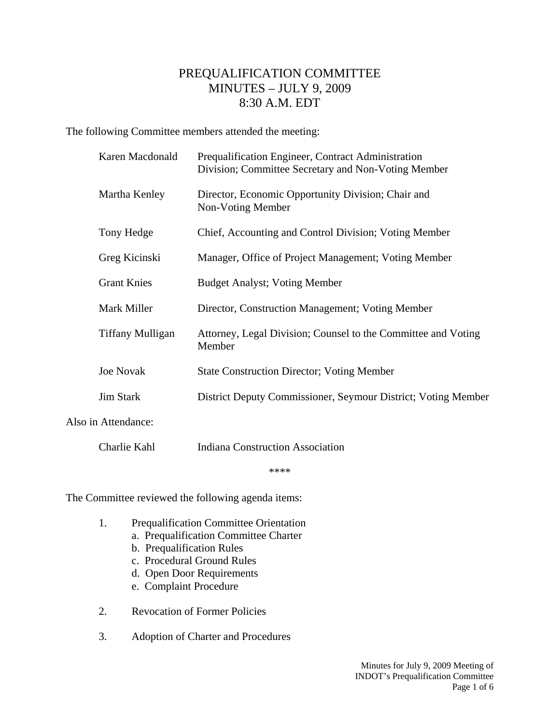## PREQUALIFICATION COMMITTEE MINUTES – JULY 9, 2009 8:30 A.M. EDT

The following Committee members attended the meeting:

|                     | Karen Macdonald         | Prequalification Engineer, Contract Administration<br>Division; Committee Secretary and Non-Voting Member |
|---------------------|-------------------------|-----------------------------------------------------------------------------------------------------------|
|                     | Martha Kenley           | Director, Economic Opportunity Division; Chair and<br>Non-Voting Member                                   |
|                     | Tony Hedge              | Chief, Accounting and Control Division; Voting Member                                                     |
|                     | Greg Kicinski           | Manager, Office of Project Management; Voting Member                                                      |
|                     | <b>Grant Knies</b>      | <b>Budget Analyst; Voting Member</b>                                                                      |
|                     | Mark Miller             | Director, Construction Management; Voting Member                                                          |
|                     | <b>Tiffany Mulligan</b> | Attorney, Legal Division; Counsel to the Committee and Voting<br>Member                                   |
|                     | <b>Joe Novak</b>        | <b>State Construction Director; Voting Member</b>                                                         |
|                     | <b>Jim Stark</b>        | District Deputy Commissioner, Seymour District; Voting Member                                             |
| Also in Attendance: |                         |                                                                                                           |
|                     |                         |                                                                                                           |

Charlie Kahl Indiana Construction Association

\*\*\*\*

The Committee reviewed the following agenda items:

- 1. Prequalification Committee Orientation
	- a. Prequalification Committee Charter
	- b. Prequalification Rules
	- c. Procedural Ground Rules
	- d. Open Door Requirements
	- e. Complaint Procedure
- 2. Revocation of Former Policies
- 3. Adoption of Charter and Procedures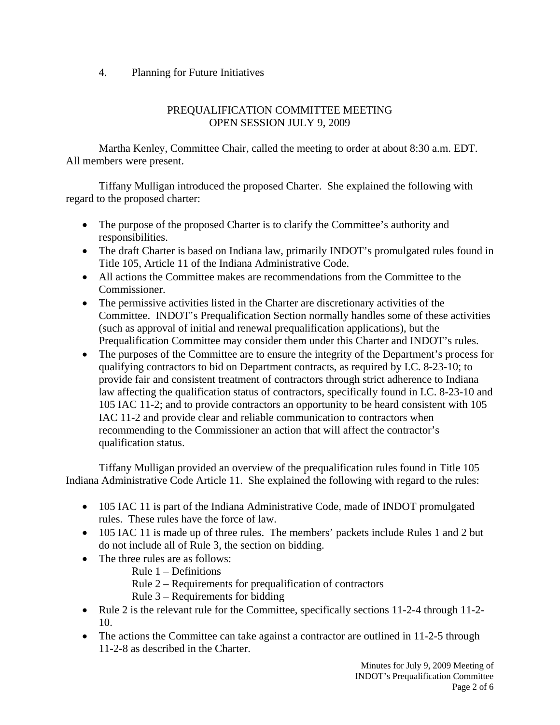4. Planning for Future Initiatives

## PREQUALIFICATION COMMITTEE MEETING OPEN SESSION JULY 9, 2009

 Martha Kenley, Committee Chair, called the meeting to order at about 8:30 a.m. EDT. All members were present.

 Tiffany Mulligan introduced the proposed Charter. She explained the following with regard to the proposed charter:

- The purpose of the proposed Charter is to clarify the Committee's authority and responsibilities.
- The draft Charter is based on Indiana law, primarily INDOT's promulgated rules found in Title 105, Article 11 of the Indiana Administrative Code.
- All actions the Committee makes are recommendations from the Committee to the Commissioner.
- The permissive activities listed in the Charter are discretionary activities of the Committee. INDOT's Prequalification Section normally handles some of these activities (such as approval of initial and renewal prequalification applications), but the Prequalification Committee may consider them under this Charter and INDOT's rules.
- The purposes of the Committee are to ensure the integrity of the Department's process for qualifying contractors to bid on Department contracts, as required by I.C. 8-23-10; to provide fair and consistent treatment of contractors through strict adherence to Indiana law affecting the qualification status of contractors, specifically found in I.C. 8-23-10 and 105 IAC 11-2; and to provide contractors an opportunity to be heard consistent with 105 IAC 11-2 and provide clear and reliable communication to contractors when recommending to the Commissioner an action that will affect the contractor's qualification status.

 Tiffany Mulligan provided an overview of the prequalification rules found in Title 105 Indiana Administrative Code Article 11. She explained the following with regard to the rules:

- 105 IAC 11 is part of the Indiana Administrative Code, made of INDOT promulgated rules. These rules have the force of law.
- 105 IAC 11 is made up of three rules. The members' packets include Rules 1 and 2 but do not include all of Rule 3, the section on bidding.
- The three rules are as follows:
	- Rule 1 Definitions
	- Rule 2 Requirements for prequalification of contractors
	- Rule 3 Requirements for bidding
- Rule 2 is the relevant rule for the Committee, specifically sections 11-2-4 through 11-2-10.
- The actions the Committee can take against a contractor are outlined in 11-2-5 through 11-2-8 as described in the Charter.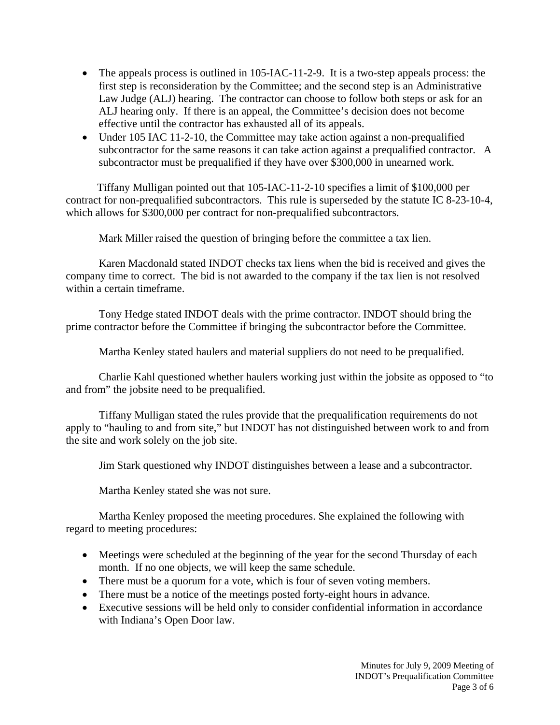- The appeals process is outlined in 105-IAC-11-2-9. It is a two-step appeals process: the first step is reconsideration by the Committee; and the second step is an Administrative Law Judge (ALJ) hearing. The contractor can choose to follow both steps or ask for an ALJ hearing only. If there is an appeal, the Committee's decision does not become effective until the contractor has exhausted all of its appeals.
- Under 105 IAC 11-2-10, the Committee may take action against a non-prequalified subcontractor for the same reasons it can take action against a prequalified contractor. A subcontractor must be prequalified if they have over \$300,000 in unearned work.

Tiffany Mulligan pointed out that 105-IAC-11-2-10 specifies a limit of \$100,000 per contract for non-prequalified subcontractors. This rule is superseded by the statute IC 8-23-10-4, which allows for \$300,000 per contract for non-prequalified subcontractors.

Mark Miller raised the question of bringing before the committee a tax lien.

 Karen Macdonald stated INDOT checks tax liens when the bid is received and gives the company time to correct. The bid is not awarded to the company if the tax lien is not resolved within a certain timeframe.

 Tony Hedge stated INDOT deals with the prime contractor. INDOT should bring the prime contractor before the Committee if bringing the subcontractor before the Committee.

Martha Kenley stated haulers and material suppliers do not need to be prequalified.

 Charlie Kahl questioned whether haulers working just within the jobsite as opposed to "to and from" the jobsite need to be prequalified.

 Tiffany Mulligan stated the rules provide that the prequalification requirements do not apply to "hauling to and from site," but INDOT has not distinguished between work to and from the site and work solely on the job site.

Jim Stark questioned why INDOT distinguishes between a lease and a subcontractor.

Martha Kenley stated she was not sure.

 Martha Kenley proposed the meeting procedures. She explained the following with regard to meeting procedures:

- Meetings were scheduled at the beginning of the year for the second Thursday of each month. If no one objects, we will keep the same schedule.
- There must be a quorum for a vote, which is four of seven voting members.
- There must be a notice of the meetings posted forty-eight hours in advance.
- Executive sessions will be held only to consider confidential information in accordance with Indiana's Open Door law.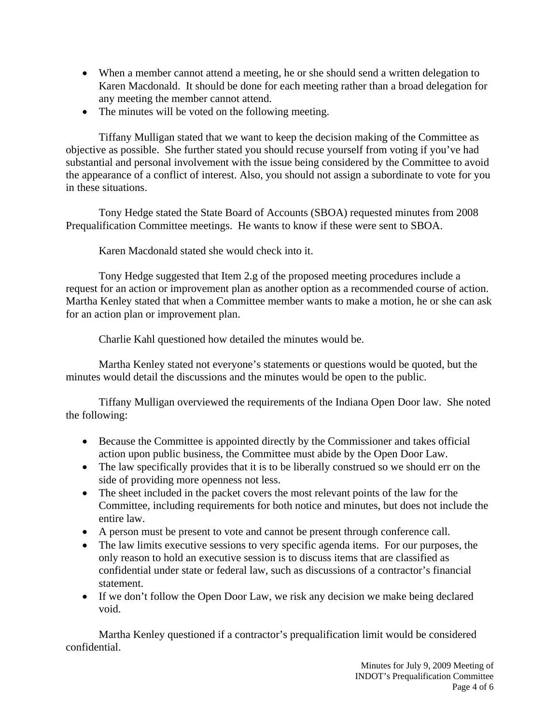- When a member cannot attend a meeting, he or she should send a written delegation to Karen Macdonald. It should be done for each meeting rather than a broad delegation for any meeting the member cannot attend.
- The minutes will be voted on the following meeting.

 Tiffany Mulligan stated that we want to keep the decision making of the Committee as objective as possible. She further stated you should recuse yourself from voting if you've had substantial and personal involvement with the issue being considered by the Committee to avoid the appearance of a conflict of interest. Also, you should not assign a subordinate to vote for you in these situations.

 Tony Hedge stated the State Board of Accounts (SBOA) requested minutes from 2008 Prequalification Committee meetings. He wants to know if these were sent to SBOA.

Karen Macdonald stated she would check into it.

 Tony Hedge suggested that Item 2.g of the proposed meeting procedures include a request for an action or improvement plan as another option as a recommended course of action. Martha Kenley stated that when a Committee member wants to make a motion, he or she can ask for an action plan or improvement plan.

Charlie Kahl questioned how detailed the minutes would be.

 Martha Kenley stated not everyone's statements or questions would be quoted, but the minutes would detail the discussions and the minutes would be open to the public.

 Tiffany Mulligan overviewed the requirements of the Indiana Open Door law. She noted the following:

- Because the Committee is appointed directly by the Commissioner and takes official action upon public business, the Committee must abide by the Open Door Law.
- The law specifically provides that it is to be liberally construed so we should err on the side of providing more openness not less.
- The sheet included in the packet covers the most relevant points of the law for the Committee, including requirements for both notice and minutes, but does not include the entire law.
- A person must be present to vote and cannot be present through conference call.
- The law limits executive sessions to very specific agenda items. For our purposes, the only reason to hold an executive session is to discuss items that are classified as confidential under state or federal law, such as discussions of a contractor's financial statement.
- If we don't follow the Open Door Law, we risk any decision we make being declared void.

 Martha Kenley questioned if a contractor's prequalification limit would be considered confidential.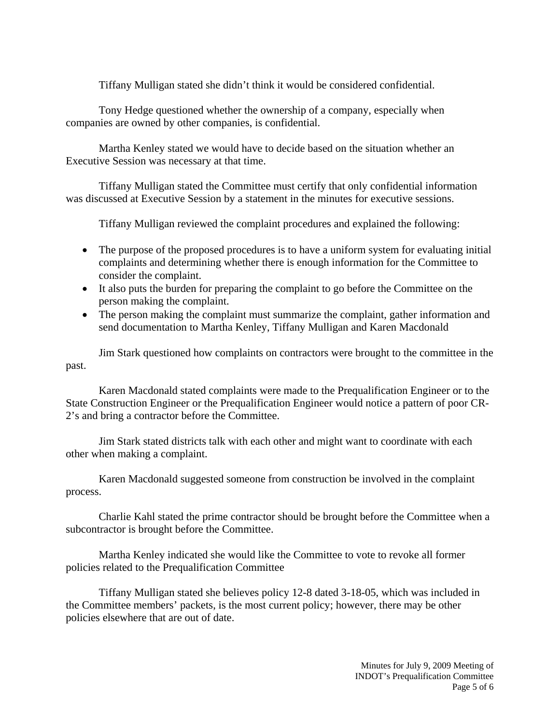Tiffany Mulligan stated she didn't think it would be considered confidential.

 Tony Hedge questioned whether the ownership of a company, especially when companies are owned by other companies, is confidential.

 Martha Kenley stated we would have to decide based on the situation whether an Executive Session was necessary at that time.

 Tiffany Mulligan stated the Committee must certify that only confidential information was discussed at Executive Session by a statement in the minutes for executive sessions.

Tiffany Mulligan reviewed the complaint procedures and explained the following:

- The purpose of the proposed procedures is to have a uniform system for evaluating initial complaints and determining whether there is enough information for the Committee to consider the complaint.
- It also puts the burden for preparing the complaint to go before the Committee on the person making the complaint.
- The person making the complaint must summarize the complaint, gather information and send documentation to Martha Kenley, Tiffany Mulligan and Karen Macdonald

 Jim Stark questioned how complaints on contractors were brought to the committee in the past.

 Karen Macdonald stated complaints were made to the Prequalification Engineer or to the State Construction Engineer or the Prequalification Engineer would notice a pattern of poor CR-2's and bring a contractor before the Committee.

 Jim Stark stated districts talk with each other and might want to coordinate with each other when making a complaint.

 Karen Macdonald suggested someone from construction be involved in the complaint process.

 Charlie Kahl stated the prime contractor should be brought before the Committee when a subcontractor is brought before the Committee.

 Martha Kenley indicated she would like the Committee to vote to revoke all former policies related to the Prequalification Committee

 Tiffany Mulligan stated she believes policy 12-8 dated 3-18-05, which was included in the Committee members' packets, is the most current policy; however, there may be other policies elsewhere that are out of date.